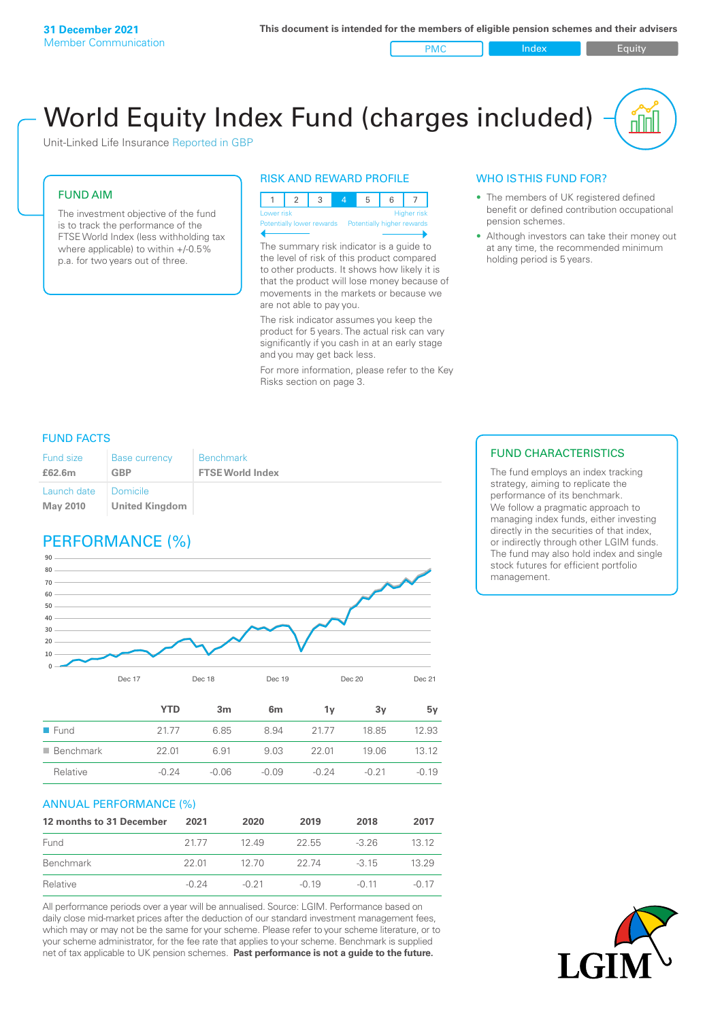PMC Index Index Equity

# World Equity Index Fund (charges included)

Unit-Linked Life Insurance Reported in GBP

#### FUND AIM

The investment objective of the fund is to track the performance of the FTSE World Index (less withholding tax where applicable) to within +/-0.5% p.a. for two years out of three.

#### RISK AND REWARD PROFILE



The summary risk indicator is a guide to the level of risk of this product compared to other products. It shows how likely it is that the product will lose money because of movements in the markets or because we are not able to pay you.

The risk indicator assumes you keep the product for 5 years. The actual risk can vary significantly if you cash in at an early stage and you may get back less.

For more information, please refer to the Key Risks section on page 3.

#### WHO IS THIS FUND FOR?

- The members of UK registered defined benefit or defined contribution occupational pension schemes.
- Although investors can take their money out at any time, the recommended minimum holding period is 5 years.

#### FUND FACTS

| Fund size                      | <b>Base currency</b>       | <b>Benchmark</b>        |
|--------------------------------|----------------------------|-------------------------|
| £62.6m                         | <b>GBP</b>                 | <b>FTSE World Index</b> |
| Launch date<br><b>May 2010</b> | Domicile<br>United Kingdom |                         |

# PERFORMANCE (%)



|                          | YTD     | 3m      | 6 <sub>m</sub> | 1v      | 3v    | 5v      |
|--------------------------|---------|---------|----------------|---------|-------|---------|
| $\blacksquare$ Fund      | 2177    | 6.85    | 8.94           | 21.77   | 18.85 | 12.93   |
| $\blacksquare$ Benchmark | 22.01   | 6.91    | 9.03           | 22.01   | 19.06 | 1312    |
| Relative                 | $-0.24$ | $-0.06$ | $-0.09$        | $-0.24$ | -0.21 | $-0.19$ |

#### ANNUAL PERFORMANCE (%)

| 12 months to 31 December | 2021    | 2020    | 2019    | 2018    | 2017    |
|--------------------------|---------|---------|---------|---------|---------|
| Fund                     | 21.77   | 1249    | 22.55   | $-3.26$ | 13 12   |
| Benchmark                | 22 01   | 12.70   | 22 74   | $-315$  | 13.29   |
| Relative                 | $-0.24$ | $-0.21$ | $-0.19$ | $-0.11$ | $-0.17$ |

All performance periods over a year will be annualised. Source: LGIM. Performance based on daily close mid-market prices after the deduction of our standard investment management fees, which may or may not be the same for your scheme. Please refer to your scheme literature, or to your scheme administrator, for the fee rate that applies to your scheme. Benchmark is supplied net of tax applicable to UK pension schemes. **Past performance is not a guide to the future.**

#### FUND CHARACTERISTICS

The fund employs an index tracking strategy, aiming to replicate the performance of its benchmark. We follow a pragmatic approach to managing index funds, either investing directly in the securities of that index, or indirectly through other LGIM funds. The fund may also hold index and single stock futures for efficient portfolio management.

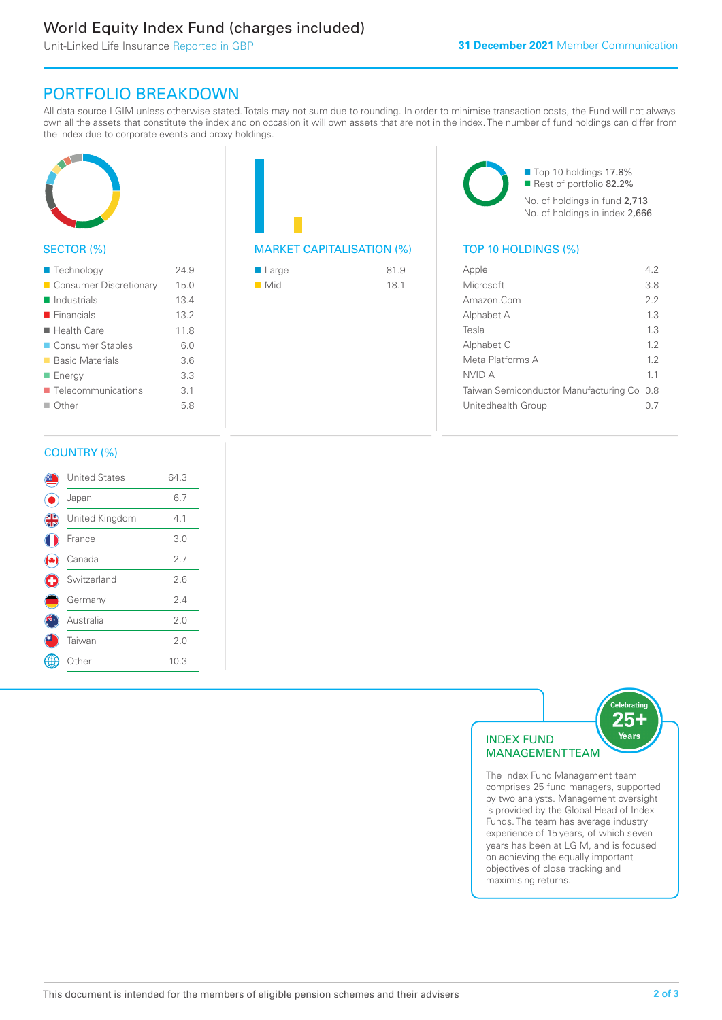# World Equity Index Fund (charges included)

Unit-Linked Life Insurance Reported in GBP

## PORTFOLIO BREAKDOWN

All data source LGIM unless otherwise stated. Totals may not sum due to rounding. In order to minimise transaction costs, the Fund will not always own all the assets that constitute the index and on occasion it will own assets that are not in the index. The number of fund holdings can differ from the index due to corporate events and proxy holdings.



### SECTOR (%)

| ■ Technology               | 24.9 |
|----------------------------|------|
| Consumer Discretionary     | 15.0 |
| $\blacksquare$ Industrials | 13.4 |
| $\blacksquare$ Financials  | 13.2 |
| ■ Health Care              | 11.8 |
| ■ Consumer Staples         | 6.0  |
| ■ Basic Materials          | 3.6  |
| ■ Energy                   | 3.3  |
| ■ Telecommunications       | 3.1  |
| $\blacksquare$ Other       | 5.8  |
|                            |      |

# MARKET CAPITALISATION (%) TOP 10 HOLDINGS (%)

| $\blacksquare$ Large | 81.9 |
|----------------------|------|
| $\blacksquare$ Mid   | 18.1 |

■ Top 10 holdings 17.8% Rest of portfolio 82.2% No. of holdings in fund 2,713 No. of holdings in index 2,666

| Apple                                     | 42  |
|-------------------------------------------|-----|
| Microsoft                                 | 3.8 |
| Amazon Com                                | 2.2 |
| Alphabet A                                | 1.3 |
| Tesla                                     | 13  |
| Alphabet C                                | 12  |
| Meta Platforms A                          | 12  |
| NVIDIA                                    | 11  |
| Taiwan Semiconductor Manufacturing Co 0.8 |     |
| Unitedhealth Group                        |     |
|                                           |     |

#### COUNTRY (%)

|   | <b>United States</b> | 64.3 |  |
|---|----------------------|------|--|
|   | Japan                | 6.7  |  |
| 4 | United Kingdom       | 4.1  |  |
|   | France               | 3.0  |  |
|   | Canada               | 2.7  |  |
| Œ | Switzerland          | 2.6  |  |
|   | Germany              | 2.4  |  |
|   | Australia            | 2.0  |  |
|   | Taiwan               | 2.0  |  |
|   | : Other              | 10.3 |  |
|   |                      |      |  |



The Index Fund Management team comprises 25 fund managers, supported by two analysts. Management oversight is provided by the Global Head of Index Funds. The team has average industry experience of 15 years, of which seven years has been at LGIM, and is focused on achieving the equally important objectives of close tracking and maximising returns.